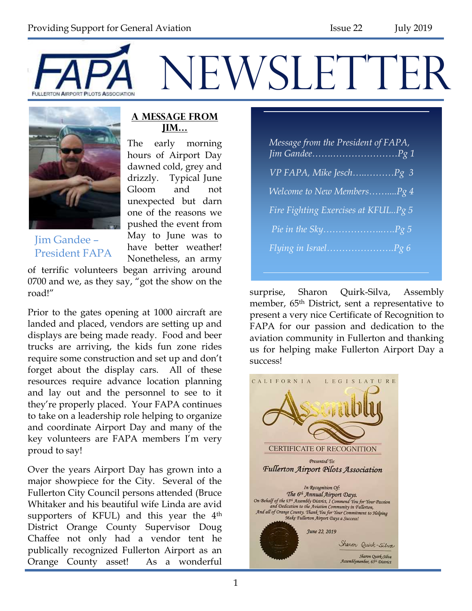



#### **A Message from Jim…**

The early morning hours of Airport Day dawned cold, grey and drizzly. Typical June Gloom and not unexpected but darn one of the reasons we pushed the event from May to June was to have better weather! Nonetheless, an army

Jim Gandee – President FAPA

of terrific volunteers began arriving around 0700 and we, as they say, "got the show on the road!"

Prior to the gates opening at 1000 aircraft are landed and placed, vendors are setting up and displays are being made ready. Food and beer trucks are arriving, the kids fun zone rides require some construction and set up and don't forget about the display cars. All of these resources require advance location planning and lay out and the personnel to see to it they're properly placed. Your FAPA continues to take on a leadership role helping to organize and coordinate Airport Day and many of the key volunteers are FAPA members I'm very proud to say!

Over the years Airport Day has grown into a major showpiece for the City. Several of the Fullerton City Council persons attended (Bruce Whitaker and his beautiful wife Linda are avid supporters of KFUL) and this year the 4<sup>th</sup> District Orange County Supervisor Doug Chaffee not only had a vendor tent he publically recognized Fullerton Airport as an Orange County asset! As a wonderful

*Message from the President of FAPA, Jim Gandee…….…………………Pg 1 VP FAPA, Mike Jesch…..………Pg 3 Welcome to New Members……....Pg 4 Fire Fighting Exercises at KFUL..Pg 5 Pie in the Sky………………..….Pg 5 Flying in Israel………………….Pg 6*

surprise, Sharon Quirk-Silva, Assembly member, 65<sup>th</sup> District, sent a representative to present a very nice Certificate of Recognition to FAPA for our passion and dedication to the aviation community in Fullerton and thanking us for helping make Fullerton Airport Day a success!

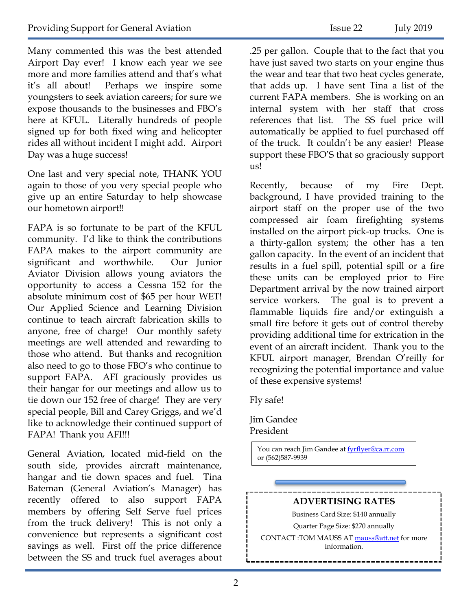Many commented this was the best attended Airport Day ever! I know each year we see more and more families attend and that's what it's all about! Perhaps we inspire some youngsters to seek aviation careers; for sure we expose thousands to the businesses and FBO's here at KFUL. Literally hundreds of people signed up for both fixed wing and helicopter rides all without incident I might add. Airport Day was a huge success!

One last and very special note, THANK YOU again to those of you very special people who give up an entire Saturday to help showcase our hometown airport!!

FAPA is so fortunate to be part of the KFUL community. I'd like to think the contributions FAPA makes to the airport community are significant and worthwhile. Our Junior Aviator Division allows young aviators the opportunity to access a Cessna 152 for the absolute minimum cost of \$65 per hour WET! Our Applied Science and Learning Division continue to teach aircraft fabrication skills to anyone, free of charge! Our monthly safety meetings are well attended and rewarding to those who attend. But thanks and recognition also need to go to those FBO's who continue to support FAPA. AFI graciously provides us their hangar for our meetings and allow us to tie down our 152 free of charge! They are very special people, Bill and Carey Griggs, and we'd like to acknowledge their continued support of FAPA! Thank you AFI!!!

General Aviation, located mid-field on the south side, provides aircraft maintenance, hangar and tie down spaces and fuel. Tina Bateman (General Aviation's Manager) has recently offered to also support FAPA members by offering Self Serve fuel prices from the truck delivery! This is not only a convenience but represents a significant cost savings as well. First off the price difference between the SS and truck fuel averages about .25 per gallon. Couple that to the fact that you have just saved two starts on your engine thus the wear and tear that two heat cycles generate, that adds up. I have sent Tina a list of the current FAPA members. She is working on an internal system with her staff that cross references that list. The SS fuel price will automatically be applied to fuel purchased off of the truck. It couldn't be any easier! Please support these FBO'S that so graciously support us!

Recently, because of my Fire Dept. background, I have provided training to the airport staff on the proper use of the two compressed air foam firefighting systems installed on the airport pick-up trucks. One is a thirty-gallon system; the other has a ten gallon capacity. In the event of an incident that results in a fuel spill, potential spill or a fire these units can be employed prior to Fire Department arrival by the now trained airport service workers. The goal is to prevent a flammable liquids fire and/or extinguish a small fire before it gets out of control thereby providing additional time for extrication in the event of an aircraft incident. Thank you to the KFUL airport manager, Brendan O'reilly for recognizing the potential importance and value of these expensive systems!

Fly safe!

Jim Gandee President

> You can reach Jim Gandee at [fyrflyer@ca.rr.com](mailto:fyrflyer@ca.rr.com) or (562)587-9939

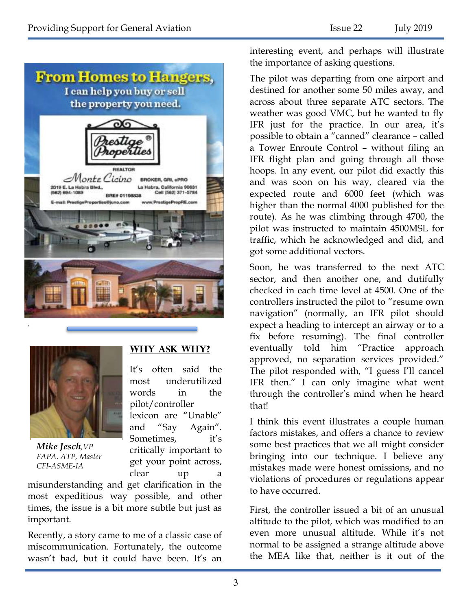



*Mike Jesch,VP FAPA. ATP, Master CFI-ASME-IA*

### **Why Ask Why?**

It's often said the most underutilized words in the pilot/controller lexicon are "Unable" and "Say Again". Sometimes, it's critically important to get your point across, clear up a

misunderstanding and get clarification in the most expeditious way possible, and other times, the issue is a bit more subtle but just as important.

Recently, a story came to me of a classic case of miscommunication. Fortunately, the outcome wasn't bad, but it could have been. It's an

interesting event, and perhaps will illustrate the importance of asking questions.

The pilot was departing from one airport and destined for another some 50 miles away, and across about three separate ATC sectors. The weather was good VMC, but he wanted to fly IFR just for the practice. In our area, it's possible to obtain a "canned" clearance – called a Tower Enroute Control – without filing an IFR flight plan and going through all those hoops. In any event, our pilot did exactly this and was soon on his way, cleared via the expected route and 6000 feet (which was higher than the normal 4000 published for the route). As he was climbing through 4700, the pilot was instructed to maintain 4500MSL for traffic, which he acknowledged and did, and got some additional vectors.

Soon, he was transferred to the next ATC sector, and then another one, and dutifully checked in each time level at 4500. One of the controllers instructed the pilot to "resume own navigation" (normally, an IFR pilot should expect a heading to intercept an airway or to a fix before resuming). The final controller eventually told him "Practice approach approved, no separation services provided." The pilot responded with, "I guess I'll cancel IFR then." I can only imagine what went through the controller's mind when he heard that!

I think this event illustrates a couple human factors mistakes, and offers a chance to review some best practices that we all might consider bringing into our technique. I believe any mistakes made were honest omissions, and no violations of procedures or regulations appear to have occurred.

First, the controller issued a bit of an unusual altitude to the pilot, which was modified to an even more unusual altitude. While it's not normal to be assigned a strange altitude above the MEA like that, neither is it out of the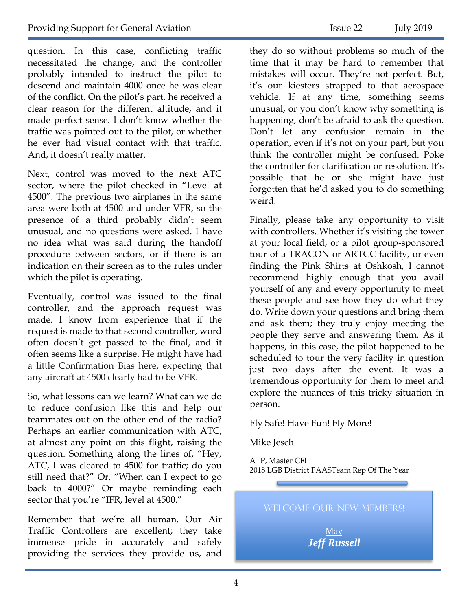question. In this case, conflicting traffic necessitated the change, and the controller probably intended to instruct the pilot to descend and maintain 4000 once he was clear of the conflict. On the pilot's part, he received a clear reason for the different altitude, and it made perfect sense. I don't know whether the traffic was pointed out to the pilot, or whether he ever had visual contact with that traffic. And, it doesn't really matter.

Next, control was moved to the next ATC sector, where the pilot checked in "Level at 4500". The previous two airplanes in the same area were both at 4500 and under VFR, so the presence of a third probably didn't seem unusual, and no questions were asked. I have no idea what was said during the handoff procedure between sectors, or if there is an indication on their screen as to the rules under which the pilot is operating.

Eventually, control was issued to the final controller, and the approach request was made. I know from experience that if the request is made to that second controller, word often doesn't get passed to the final, and it often seems like a surprise. He might have had a little Confirmation Bias here, expecting that any aircraft at 4500 clearly had to be VFR.

So, what lessons can we learn? What can we do to reduce confusion like this and help our teammates out on the other end of the radio? Perhaps an earlier communication with ATC, at almost any point on this flight, raising the question. Something along the lines of, "Hey, ATC, I was cleared to 4500 for traffic; do you still need that?" Or, "When can I expect to go back to 4000?" Or maybe reminding each sector that you're "IFR, level at 4500."

Remember that we're all human. Our Air Traffic Controllers are excellent; they take immense pride in accurately and safely providing the services they provide us, and

they do so without problems so much of the time that it may be hard to remember that mistakes will occur. They're not perfect. But, it's our kiesters strapped to that aerospace vehicle. If at any time, something seems unusual, or you don't know why something is happening, don't be afraid to ask the question. Don't let any confusion remain in the operation, even if it's not on your part, but you think the controller might be confused. Poke the controller for clarification or resolution. It's possible that he or she might have just forgotten that he'd asked you to do something weird.

Finally, please take any opportunity to visit with controllers. Whether it's visiting the tower at your local field, or a pilot group-sponsored tour of a TRACON or ARTCC facility, or even finding the Pink Shirts at Oshkosh, I cannot recommend highly enough that you avail yourself of any and every opportunity to meet these people and see how they do what they do. Write down your questions and bring them and ask them; they truly enjoy meeting the people they serve and answering them. As it happens, in this case, the pilot happened to be scheduled to tour the very facility in question just two days after the event. It was a tremendous opportunity for them to meet and explore the nuances of this tricky situation in person.

Fly Safe! Have Fun! Fly More!

Mike Jesch

ATP, Master CFI 2018 LGB District FAASTeam Rep Of The Year

WELCOME OUR NEW MEMBERS!

May *Jeff Russell*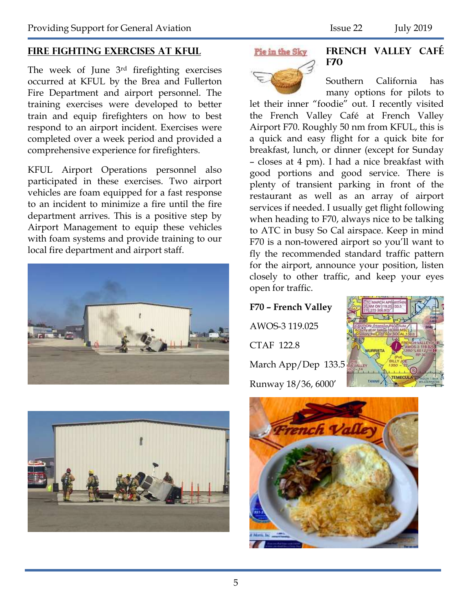### **Fire Fighting Exercises at KFUL**

The week of June 3rd firefighting exercises occurred at KFUL by the Brea and Fullerton Fire Department and airport personnel. The training exercises were developed to better train and equip firefighters on how to best respond to an airport incident. Exercises were completed over a week period and provided a comprehensive experience for firefighters.

KFUL Airport Operations personnel also participated in these exercises. Two airport vehicles are foam equipped for a fast response to an incident to minimize a fire until the fire department arrives. This is a positive step by Airport Management to equip these vehicles with foam systems and provide training to our local fire department and airport staff.





#### Pie im the Sky



**French Valley Café F70**

Southern California has many options for pilots to

let their inner "foodie" out. I recently visited the French Valley Café at French Valley Airport F70. Roughly 50 nm from KFUL, this is a quick and easy flight for a quick bite for breakfast, lunch, or dinner (except for Sunday – closes at 4 pm). I had a nice breakfast with good portions and good service. There is plenty of transient parking in front of the restaurant as well as an array of airport services if needed. I usually get flight following when heading to F70, always nice to be talking to ATC in busy So Cal airspace. Keep in mind F70 is a non-towered airport so you'll want to fly the recommended standard traffic pattern for the airport, announce your position, listen closely to other traffic, and keep your eyes open for traffic.

## **F70 – French Valley** AWOS-3 119.025 CTAF 122.8 March App/Dep 133.5 Runway 18/36, 6000'



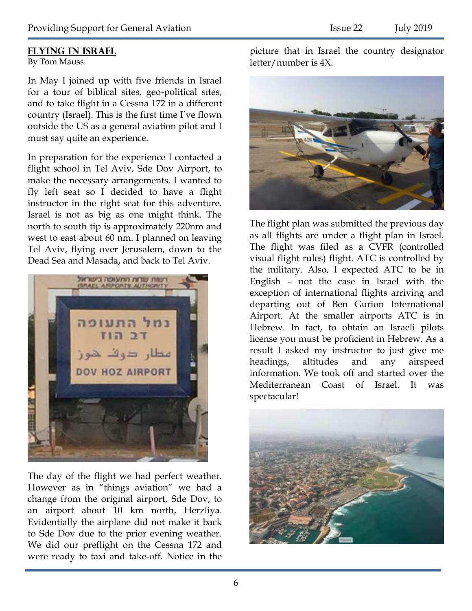### **Flying in Israel**

By Tom Mauss

In May I joined up with five friends in Israel for a tour of biblical sites, geo-political sites, and to take flight in a Cessna 172 in a different country (Israel). This is the first time I've flown outside the US as a general aviation pilot and I must say quite an experience.

In preparation for the experience I contacted a flight school in Tel Aviv, Sde Dov Airport, to make the necessary arrangements. I wanted to fly left seat so I decided to have a flight instructor in the right seat for this adventure. Israel is not as big as one might think. The north to south tip is approximately 220nm and west to east about 60 nm. I planned on leaving Tel Aviv, flying over Jerusalem, down to the Dead Sea and Masada, and back to Tel Aviv.



The day of the flight we had perfect weather. However as in "things aviation" we had a change from the original airport, Sde Dov, to an airport about 10 km north, Herzliya. Evidentially the airplane did not make it back to Sde Dov due to the prior evening weather. We did our preflight on the Cessna 172 and were ready to taxi and take-off. Notice in the picture that in Israel the country designator letter/number is 4X.



The flight plan was submitted the previous day as all flights are under a flight plan in Israel. The flight was filed as a CVFR (controlled visual flight rules) flight. ATC is controlled by the military. Also, I expected ATC to be in English – not the case in Israel with the exception of international flights arriving and departing out of Ben Gurion International Airport. At the smaller airports ATC is in Hebrew. In fact, to obtain an Israeli pilots license you must be proficient in Hebrew. As a result I asked my instructor to just give me headings, altitudes and any airspeed information. We took off and started over the Mediterranean Coast of Israel. It was spectacular!

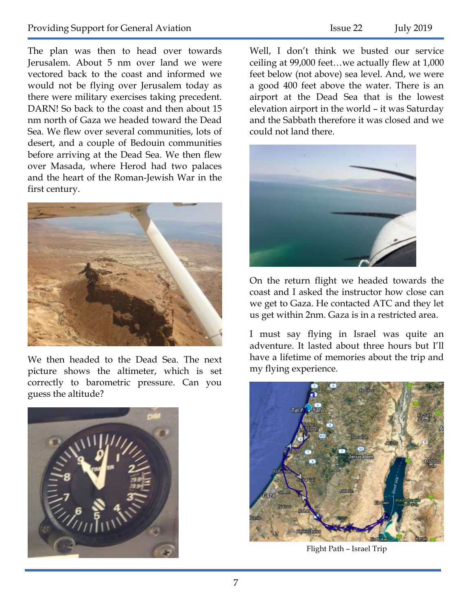The plan was then to head over towards Jerusalem. About 5 nm over land we were vectored back to the coast and informed we would not be flying over Jerusalem today as there were military exercises taking precedent. DARN! So back to the coast and then about 15 nm north of Gaza we headed toward the Dead Sea. We flew over several communities, lots of desert, and a couple of Bedouin communities before arriving at the Dead Sea. We then flew over Masada, where Herod had two palaces and the heart of the Roman-Jewish War in the first century.



We then headed to the Dead Sea. The next picture shows the altimeter, which is set correctly to barometric pressure. Can you guess the altitude?



Well, I don't think we busted our service ceiling at 99,000 feet…we actually flew at 1,000 feet below (not above) sea level. And, we were a good 400 feet above the water. There is an airport at the Dead Sea that is the lowest elevation airport in the world – it was Saturday and the Sabbath therefore it was closed and we could not land there.



On the return flight we headed towards the coast and I asked the instructor how close can we get to Gaza. He contacted ATC and they let us get within 2nm. Gaza is in a restricted area.

I must say flying in Israel was quite an adventure. It lasted about three hours but I'll have a lifetime of memories about the trip and my flying experience.



Flight Path – Israel Trip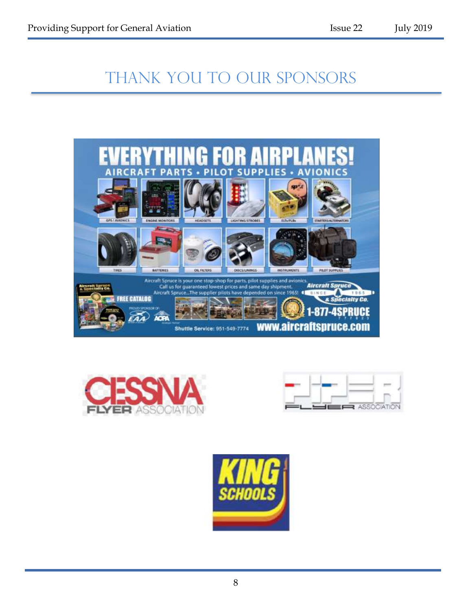# THANK YOU TO OUR SPONSORS